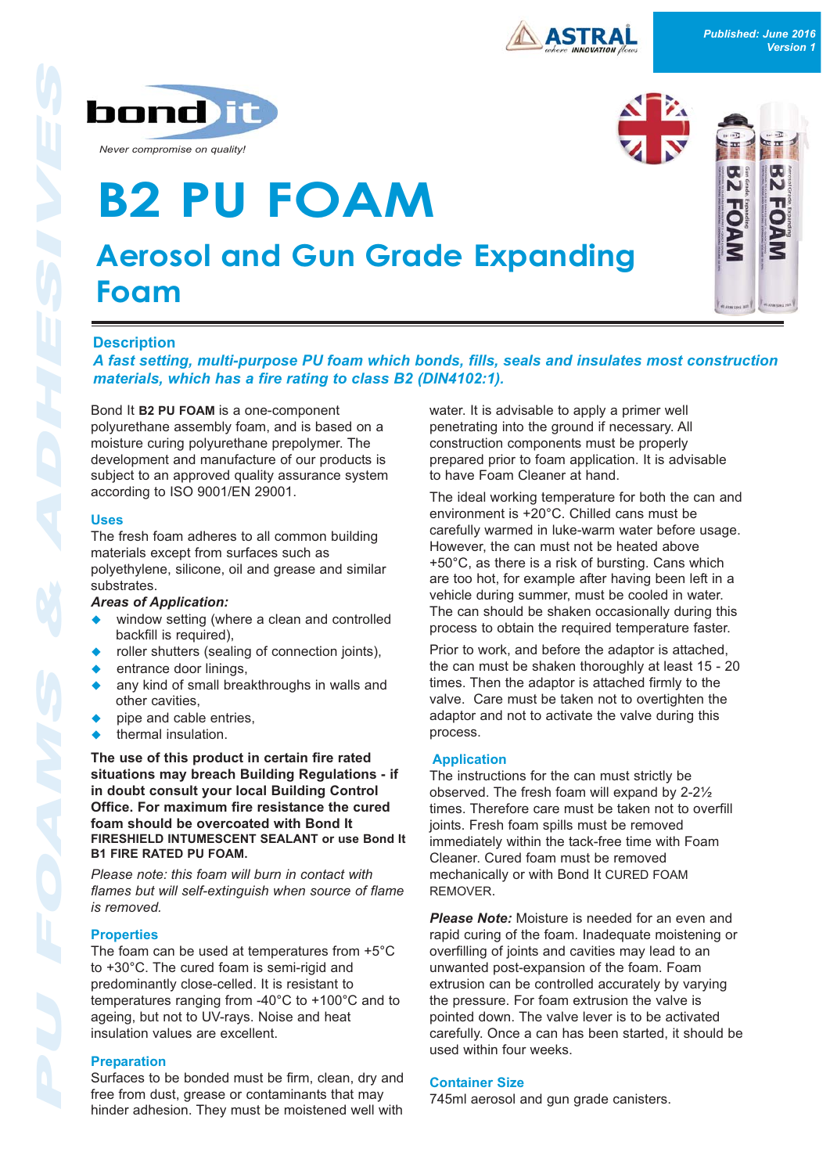





# **Description**

**Foam**

*A fast setting, multi-purpose PU foam which bonds, fills, seals and insulates most construction materials, which has a fire rating to class B2 (DIN4102:1).*

**Aerosol and Gun Grade Expanding**

polyurethane assembly foam, and is based on a moisture curing polyurethane prepolymer. The development and manufacture of our products is subject to an approved quality assurance system according to ISO 9001/EN 29001.

**B2 PU FOAM**

## **Uses**

The fresh foam adheres to all common building materials except from surfaces such as polyethylene, silicone, oil and grease and similar substrates.

## *Areas of Application:*

- window setting (where a clean and controlled backfill is required),
- $\bullet$  roller shutters (sealing of connection joints),
- entrance door linings,
- any kind of small breakthroughs in walls and other cavities,
- pipe and cable entries,
- thermal insulation.

**The use of this product in certain fire rated situations may breach Building Regulations - if in doubt consult your local Building Control Office. For maximum fire resistance the cured foam should be overcoated with Bond It FIRESHIELD INTUMESCENT SEALANT or use Bond It B1 FIRE RATED PU FOAM.**

*Please note: this foam will burn in contact with flames but will self-extinguish when source of flame is removed.*

## **Properties**

The foam can be used at temperatures from +5°C to +30°C. The cured foam is semi-rigid and predominantly close-celled. It is resistant to temperatures ranging from -40°C to +100°C and to ageing, but not to UV-rays. Noise and heat insulation values are excellent.

## **Preparation**

Surfaces to be bonded must be firm, clean, dry and free from dust, grease or contaminants that may hinder adhesion. They must be moistened well with water. It is advisable to apply a primer well penetrating into the ground if necessary. All construction components must be properly prepared prior to foam application. It is advisable to have Foam Cleaner at hand.

The ideal working temperature for both the can and environment is +20°C. Chilled cans must be carefully warmed in luke-warm water before usage. However, the can must not be heated above +50°C, as there is a risk of bursting. Cans which are too hot, for example after having been left in a vehicle during summer, must be cooled in water. The can should be shaken occasionally during this process to obtain the required temperature faster.

Prior to work, and before the adaptor is attached, the can must be shaken thoroughly at least 15 - 20 times. Then the adaptor is attached firmly to the valve. Care must be taken not to overtighten the adaptor and not to activate the valve during this process.

## **Application**

The instructions for the can must strictly be observed. The fresh foam will expand by 2-2½ times. Therefore care must be taken not to overfill joints. Fresh foam spills must be removed immediately within the tack-free time with Foam Cleaner. Cured foam must be removed mechanically or with Bond It CURED FOAM REMOVER.

*Please Note:* Moisture is needed for an even and rapid curing of the foam. Inadequate moistening or overfilling of joints and cavities may lead to an unwanted post-expansion of the foam. Foam extrusion can be controlled accurately by varying the pressure. For foam extrusion the valve is pointed down. The valve lever is to be activated carefully. Once a can has been started, it should be used within four weeks.

## **Container Size**

745ml aerosol and gun grade canisters.